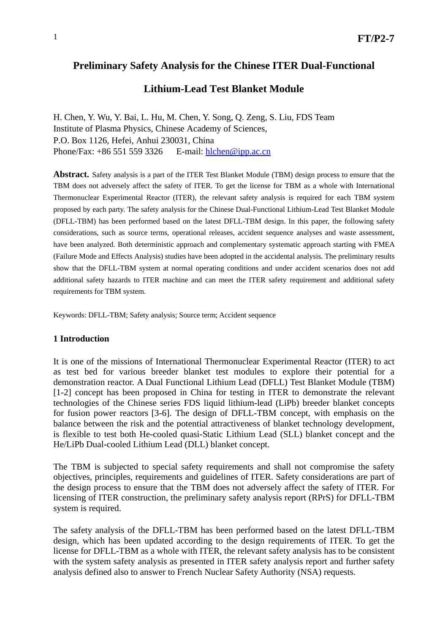# **Preliminary Safety Analysis for the Chinese ITER Dual-Functional**

### **Lithium-Lead Test Blanket Module**

H. Chen, Y. Wu, Y. Bai, L. Hu, M. Chen, Y. Song, Q. Zeng, S. Liu, FDS Team Institute of Plasma Physics, Chinese Academy of Sciences, P.O. Box 1126, Hefei, Anhui 230031, China Phone/Fax: +86 551 559 3326 E-mail: hlchen@ipp.ac.cn

**Abstract.** Safety analysis is a part of the ITER Test Blanket Module (TBM) design process to ensure that the TBM does not adversely affect the safety of ITER. To get the license for TBM as a whole with International Thermonuclear Experimental Reactor (ITER), the relevant safety analysis is required for each TBM system proposed by each party. The safety analysis for the Chinese Dual-Functional Lithium-Lead Test Blanket Module (DFLL-TBM) has been performed based on the latest DFLL-TBM design. In this paper, the following safety considerations, such as source terms, operational releases, accident sequence analyses and waste assessment, have been analyzed. Both deterministic approach and complementary systematic approach starting with FMEA (Failure Mode and Effects Analysis) studies have been adopted in the accidental analysis. The preliminary results show that the DFLL-TBM system at normal operating conditions and under accident scenarios does not add additional safety hazards to ITER machine and can meet the ITER safety requirement and additional safety requirements for TBM system.

Keywords: DFLL-TBM; Safety analysis; Source term; Accident sequence

#### **1 Introduction**

It is one of the missions of International Thermonuclear Experimental Reactor (ITER) to act as test bed for various breeder blanket test modules to explore their potential for a demonstration reactor. A Dual Functional Lithium Lead (DFLL) Test Blanket Module (TBM) [1-2] concept has been proposed in China for testing in ITER to demonstrate the relevant technologies of the Chinese series FDS liquid lithium-lead (LiPb) breeder blanket concepts for fusion power reactors [3-6]. The design of DFLL-TBM concept, with emphasis on the balance between the risk and the potential attractiveness of blanket technology development, is flexible to test both He-cooled quasi-Static Lithium Lead (SLL) blanket concept and the He/LiPb Dual-cooled Lithium Lead (DLL) blanket concept.

The TBM is subjected to special safety requirements and shall not compromise the safety objectives, principles, requirements and guidelines of ITER. Safety considerations are part of the design process to ensure that the TBM does not adversely affect the safety of ITER. For licensing of ITER construction, the preliminary safety analysis report (RPrS) for DFLL-TBM system is required.

The safety analysis of the DFLL-TBM has been performed based on the latest DFLL-TBM design, which has been updated according to the design requirements of ITER. To get the license for DFLL-TBM as a whole with ITER, the relevant safety analysis has to be consistent with the system safety analysis as presented in ITER safety analysis report and further safety analysis defined also to answer to French Nuclear Safety Authority (NSA) requests.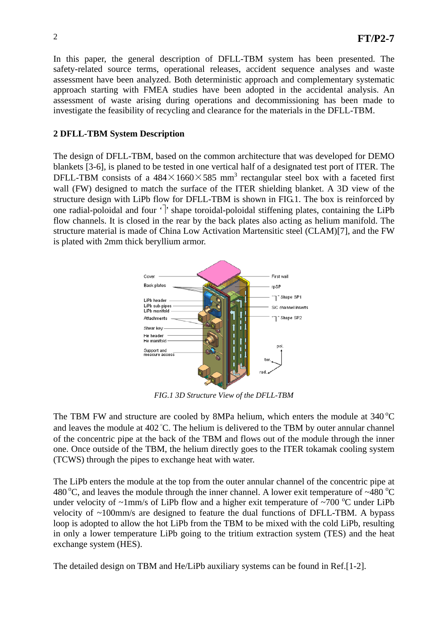In this paper, the general description of DFLL-TBM system has been presented. The safety-related source terms, operational releases, accident sequence analyses and waste assessment have been analyzed. Both deterministic approach and complementary systematic approach starting with FMEA studies have been adopted in the accidental analysis. An assessment of waste arising during operations and decommissioning has been made to investigate the feasibility of recycling and clearance for the materials in the DFLL-TBM.

# **2 DFLL-TBM System Description**

The design of DFLL-TBM, based on the common architecture that was developed for DEMO blankets [3-6], is planed to be tested in one vertical half of a designated test port of ITER. The DFLL-TBM consists of a  $484 \times 1660 \times 585$  mm<sup>3</sup> rectangular steel box with a faceted first wall (FW) designed to match the surface of the ITER shielding blanket. A 3D view of the structure design with LiPb flow for DFLL-TBM is shown in FIG.1. The box is reinforced by one radial-poloidal and four  $\cdot$ <sup>1</sup>' shape toroidal-poloidal stiffening plates, containing the LiPb flow channels. It is closed in the rear by the back plates also acting as helium manifold. The structure material is made of China Low Activation Martensitic steel (CLAM)[7], and the FW is plated with 2mm thick beryllium armor.



*FIG.1 3D Structure View of the DFLL-TBM*

The TBM FW and structure are cooled by 8MPa helium, which enters the module at  $340^{\circ}$ C and leaves the module at  $402^{\circ}$ C. The helium is delivered to the TBM by outer annular channel of the concentric pipe at the back of the TBM and flows out of the module through the inner one. Once outside of the TBM, the helium directly goes to the ITER tokamak cooling system (TCWS) through the pipes to exchange heat with water.

The LiPb enters the module at the top from the outer annular channel of the concentric pipe at 480 °C, and leaves the module through the inner channel. A lower exit temperature of  $\sim$ 480 °C under velocity of  $\sim$ 1mm/s of LiPb flow and a higher exit temperature of  $\sim$ 700 °C under LiPb velocity of  $\sim 100$ mm/s are designed to feature the dual functions of DFLL-TBM. A bypass loop is adopted to allow the hot LiPb from the TBM to be mixed with the cold LiPb, resulting in only a lower temperature LiPb going to the tritium extraction system (TES) and the heat exchange system (HES).

The detailed design on TBM and He/LiPb auxiliary systems can be found in Ref.[1-2].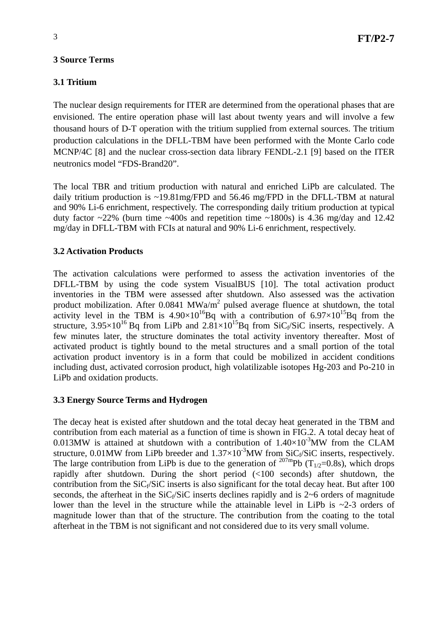### **3.1 Tritium**

The nuclear design requirements for ITER are determined from the operational phases that are envisioned. The entire operation phase will last about twenty years and will involve a few thousand hours of D-T operation with the tritium supplied from external sources. The tritium production calculations in the DFLL-TBM have been performed with the Monte Carlo code MCNP/4C [8] and the nuclear cross-section data library FENDL-2.1 [9] based on the ITER neutronics model "FDS-Brand20".

The local TBR and tritium production with natural and enriched LiPb are calculated. The daily tritium production is ~19.81mg/FPD and 56.46 mg/FPD in the DFLL-TBM at natural and 90% Li-6 enrichment, respectively. The corresponding daily tritium production at typical duty factor  $\sim$ 22% (burn time  $\sim$ 400s and repetition time  $\sim$ 1800s) is 4.36 mg/day and 12.42 mg/day in DFLL-TBM with FCIs at natural and 90% Li-6 enrichment, respectively.

### **3.2 Activation Products**

The activation calculations were performed to assess the activation inventories of the DFLL-TBM by using the code system VisualBUS [10]. The total activation product inventories in the TBM were assessed after shutdown. Also assessed was the activation product mobilization. After  $0.0841$  MWa/m<sup>2</sup> pulsed average fluence at shutdown, the total activity level in the TBM is  $4.90\times10^{16}$ Bq with a contribution of  $6.97\times10^{15}$ Bq from the structure,  $3.95\times10^{16}$  Bq from LiPb and  $2.81\times10^{15}$  Bq from SiC<sub>f</sub>/SiC inserts, respectively. A few minutes later, the structure dominates the total activity inventory thereafter. Most of activated product is tightly bound to the metal structures and a small portion of the total activation product inventory is in a form that could be mobilized in accident conditions including dust, activated corrosion product, high volatilizable isotopes Hg-203 and Po-210 in LiPb and oxidation products.

#### **3.3 Energy Source Terms and Hydrogen**

The decay heat is existed after shutdown and the total decay heat generated in the TBM and contribution from each material as a function of time is shown in FIG.2. A total decay heat of 0.013MW is attained at shutdown with a contribution of  $1.40\times10^{-3}$  MW from the CLAM structure, 0.01MW from LiPb breeder and  $1.37\times10^{-3}$ MW from SiC<sub>f</sub>/SiC inserts, respectively. The large contribution from LiPb is due to the generation of <sup>207m</sup>Pb (T<sub>1/2</sub>=0.8s), which drops rapidly after shutdown. During the short period (<100 seconds) after shutdown, the contribution from the  $\text{SiC}_f/\text{SiC}$  inserts is also significant for the total decay heat. But after 100 seconds, the afterheat in the  $SiC<sub>f</sub>/SiC$  inserts declines rapidly and is 2~6 orders of magnitude lower than the level in the structure while the attainable level in LiPb is  $\sim$ 2-3 orders of magnitude lower than that of the structure. The contribution from the coating to the total afterheat in the TBM is not significant and not considered due to its very small volume.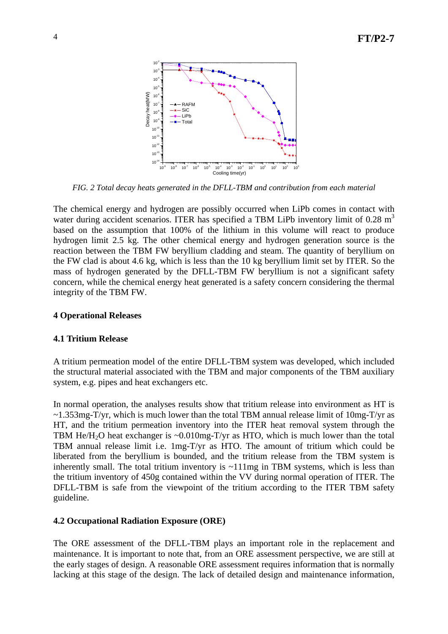

*FIG. 2 Total decay heats generated in the DFLL-TBM and contribution from each material*

The chemical energy and hydrogen are possibly occurred when LiPb comes in contact with water during accident scenarios. ITER has specified a TBM LiPb inventory limit of  $0.28 \text{ m}^3$ based on the assumption that 100% of the lithium in this volume will react to produce hydrogen limit 2.5 kg. The other chemical energy and hydrogen generation source is the reaction between the TBM FW beryllium cladding and steam. The quantity of beryllium on the FW clad is about 4.6 kg, which is less than the 10 kg beryllium limit set by ITER. So the mass of hydrogen generated by the DFLL-TBM FW beryllium is not a significant safety concern, while the chemical energy heat generated is a safety concern considering the thermal integrity of the TBM FW.

### **4 Operational Releases**

#### **4.1 Tritium Release**

A tritium permeation model of the entire DFLL-TBM system was developed, which included the structural material associated with the TBM and major components of the TBM auxiliary system, e.g. pipes and heat exchangers etc.

In normal operation, the analyses results show that tritium release into environment as HT is  $\sim$ 1.353mg-T/yr, which is much lower than the total TBM annual release limit of 10mg-T/yr as HT, and the tritium permeation inventory into the ITER heat removal system through the TBM He/H<sub>2</sub>O heat exchanger is  $\sim 0.010$ mg-T/yr as HTO, which is much lower than the total TBM annual release limit i.e. 1mg-T/yr as HTO. The amount of tritium which could be liberated from the beryllium is bounded, and the tritium release from the TBM system is inherently small. The total tritium inventory is  $\sim$ 111mg in TBM systems, which is less than the tritium inventory of 450g contained within the VV during normal operation of ITER. The DFLL-TBM is safe from the viewpoint of the tritium according to the ITER TBM safety guideline.

#### **4.2 Occupational Radiation Exposure (ORE)**

The ORE assessment of the DFLL-TBM plays an important role in the replacement and maintenance. It is important to note that, from an ORE assessment perspective, we are still at the early stages of design. A reasonable ORE assessment requires information that is normally lacking at this stage of the design. The lack of detailed design and maintenance information,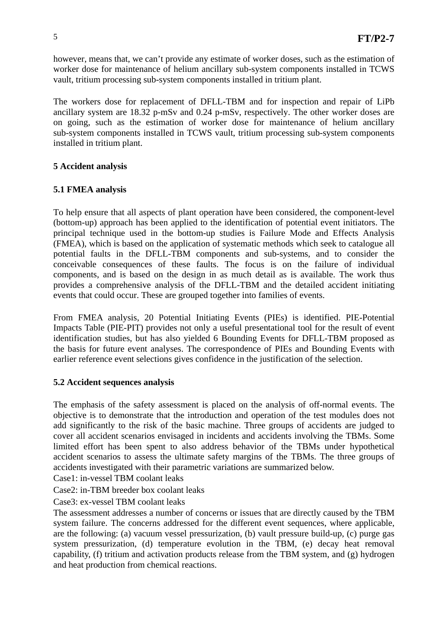however, means that, we can't provide any estimate of worker doses, such as the estimation of worker dose for maintenance of helium ancillary sub-system components installed in TCWS vault, tritium processing sub-system components installed in tritium plant.

The workers dose for replacement of DFLL-TBM and for inspection and repair of LiPb ancillary system are 18.32 p-mSv and 0.24 p-mSv, respectively. The other worker doses are on going, such as the estimation of worker dose for maintenance of helium ancillary sub-system components installed in TCWS vault, tritium processing sub-system components installed in tritium plant.

## **5 Accident analysis**

## **5.1 FMEA analysis**

To help ensure that all aspects of plant operation have been considered, the component-level (bottom-up) approach has been applied to the identification of potential event initiators. The principal technique used in the bottom-up studies is Failure Mode and Effects Analysis (FMEA), which is based on the application of systematic methods which seek to catalogue all potential faults in the DFLL-TBM components and sub-systems, and to consider the conceivable consequences of these faults. The focus is on the failure of individual components, and is based on the design in as much detail as is available. The work thus provides a comprehensive analysis of the DFLL-TBM and the detailed accident initiating events that could occur. These are grouped together into families of events.

From FMEA analysis, 20 Potential Initiating Events (PIEs) is identified. PIE-Potential Impacts Table (PIE-PIT) provides not only a useful presentational tool for the result of event identification studies, but has also yielded 6 Bounding Events for DFLL-TBM proposed as the basis for future event analyses. The correspondence of PIEs and Bounding Events with earlier reference event selections gives confidence in the justification of the selection.

## **5.2 Accident sequences analysis**

The emphasis of the safety assessment is placed on the analysis of off-normal events. The objective is to demonstrate that the introduction and operation of the test modules does not add significantly to the risk of the basic machine. Three groups of accidents are judged to cover all accident scenarios envisaged in incidents and accidents involving the TBMs. Some limited effort has been spent to also address behavior of the TBMs under hypothetical accident scenarios to assess the ultimate safety margins of the TBMs. The three groups of accidents investigated with their parametric variations are summarized below.

Case1: in-vessel TBM coolant leaks

Case2: in-TBM breeder box coolant leaks

Case3: ex-vessel TBM coolant leaks

The assessment addresses a number of concerns or issues that are directly caused by the TBM system failure. The concerns addressed for the different event sequences, where applicable, are the following: (a) vacuum vessel pressurization, (b) vault pressure build-up, (c) purge gas system pressurization, (d) temperature evolution in the TBM, (e) decay heat removal capability, (f) tritium and activation products release from the TBM system, and (g) hydrogen and heat production from chemical reactions.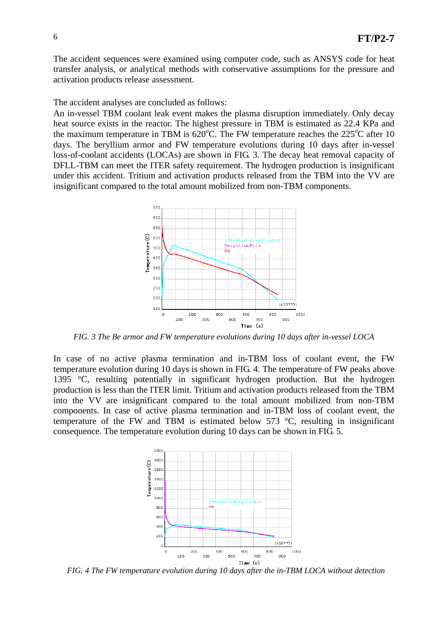The accident sequences were examined using computer code, such as ANSYS code for heat transfer analysis, or analytical methods with conservative assumptions for the pressure and activation products release assessment.

The accident analyses are concluded as follows:

An in-vessel TBM coolant leak event makes the plasma disruption immediately. Only decay heat source exists in the reactor. The highest pressure in TBM is estimated as 22.4 KPa and the maximum temperature in TBM is  $620^{\circ}$ C. The FW temperature reaches the 225<sup>°</sup>C after 10 days. The beryllium armor and FW temperature evolutions during 10 days after in-vessel loss-of-coolant accidents (LOCAs) are shown in FIG. 3. The decay heat removal capacity of DFLL-TBM can meet the ITER safety requirement. The hydrogen production is insignificant under this accident. Tritium and activation products released from the TBM into the VV are insignificant compared to the total amount mobilized from non-TBM components.



*FIG. 3 The Be armor and FW temperature evolutions during 10 days after in-vessel LOCA*

In case of no active plasma termination and in-TBM loss of coolant event, the FW temperature evolution during 10 days is shown in FIG. 4. The temperature of FW peaks above 1395 °C, resulting potentially in significant hydrogen production. But the hydrogen production is less than the ITER limit. Tritium and activation products released from the TBM into the VV are insignificant compared to the total amount mobilized from non-TBM components. In case of active plasma termination and in-TBM loss of coolant event, the temperature of the FW and TBM is estimated below 573 °C, resulting in insignificant consequence. The temperature evolution during 10 days can be shown in FIG. 5.



 *FIG. 4 The FW temperature evolution during 10 days after the in-TBM LOCA without detection*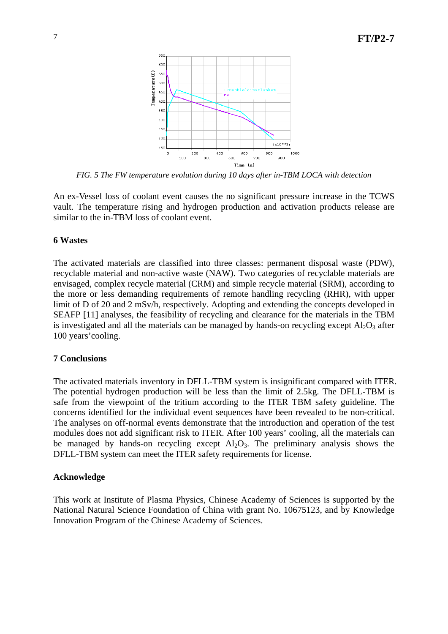

*FIG. 5 The FW temperature evolution during 10 days after in-TBM LOCA with detection*

An ex-Vessel loss of coolant event causes the no significant pressure increase in the TCWS vault. The temperature rising and hydrogen production and activation products release are similar to the in-TBM loss of coolant event.

#### **6 Wastes**

The activated materials are classified into three classes: permanent disposal waste (PDW), recyclable material and non-active waste (NAW). Two categories of recyclable materials are envisaged, complex recycle material (CRM) and simple recycle material (SRM), according to the more or less demanding requirements of remote handling recycling (RHR), with upper limit of D of 20 and 2 mSv/h, respectively. Adopting and extending the concepts developed in SEAFP [11] analyses, the feasibility of recycling and clearance for the materials in the TBM is investigated and all the materials can be managed by hands-on recycling except  $Al_2O_3$  after 100 years'cooling.

#### **7 Conclusions**

The activated materials inventory in DFLL-TBM system is insignificant compared with ITER. The potential hydrogen production will be less than the limit of 2.5kg. The DFLL-TBM is safe from the viewpoint of the tritium according to the ITER TBM safety guideline. The concerns identified for the individual event sequences have been revealed to be non-critical. The analyses on off-normal events demonstrate that the introduction and operation of the test modules does not add significant risk to ITER. After 100 years' cooling, all the materials can be managed by hands-on recycling except  $Al_2O_3$ . The preliminary analysis shows the DFLL-TBM system can meet the ITER safety requirements for license.

#### **Acknowledge**

This work at Institute of Plasma Physics, Chinese Academy of Sciences is supported by the National Natural Science Foundation of China with grant No. 10675123, and by Knowledge Innovation Program of the Chinese Academy of Sciences.